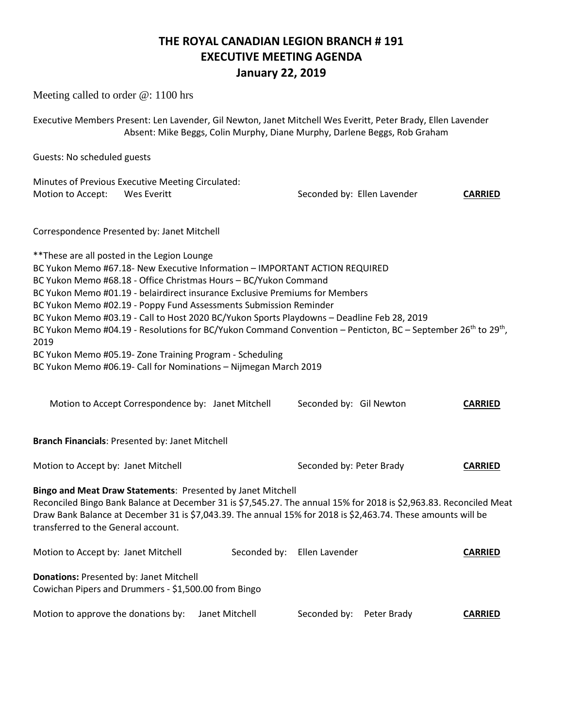### **THE ROYAL CANADIAN LEGION BRANCH # 191 EXECUTIVE MEETING AGENDA January 22, 2019**

Meeting called to order @: 1100 hrs Executive Members Present: Len Lavender, Gil Newton, Janet Mitchell Wes Everitt, Peter Brady, Ellen Lavender Absent: Mike Beggs, Colin Murphy, Diane Murphy, Darlene Beggs, Rob Graham Guests: No scheduled guests Minutes of Previous Executive Meeting Circulated: Motion to Accept: Wes Everitt Seconded by: Ellen Lavender **CARRIED** Correspondence Presented by: Janet Mitchell \*\*These are all posted in the Legion Lounge BC Yukon Memo #67.18- New Executive Information – IMPORTANT ACTION REQUIRED BC Yukon Memo #68.18 - Office Christmas Hours – BC/Yukon Command BC Yukon Memo #01.19 - belairdirect insurance Exclusive Premiums for Members BC Yukon Memo #02.19 - Poppy Fund Assessments Submission Reminder BC Yukon Memo #03.19 - Call to Host 2020 BC/Yukon Sports Playdowns – Deadline Feb 28, 2019 BC Yukon Memo #04.19 - Resolutions for BC/Yukon Command Convention – Penticton, BC – September 26<sup>th</sup> to 29<sup>th</sup>, 2019 BC Yukon Memo #05.19- Zone Training Program - Scheduling BC Yukon Memo #06.19- Call for Nominations – Nijmegan March 2019 Motion to Accept Correspondence by: Janet Mitchell Seconded by: Gil Newton **CARRIED Branch Financials**: Presented by: Janet Mitchell Motion to Accept by: Janet Mitchell **Seconded by: Peter Brady CARRIED Bingo and Meat Draw Statements**: Presented by Janet Mitchell Reconciled Bingo Bank Balance at December 31 is \$7,545.27. The annual 15% for 2018 is \$2,963.83. Reconciled Meat Draw Bank Balance at December 31 is \$7,043.39. The annual 15% for 2018 is \$2,463.74. These amounts will be transferred to the General account. Motion to Accept by: Janet Mitchell Seconded by: Ellen Lavender **CARRIED Donations:** Presented by: Janet Mitchell Cowichan Pipers and Drummers - \$1,500.00 from Bingo Motion to approve the donations by: Janet Mitchell Seconded by: Peter Brady **CARRIED**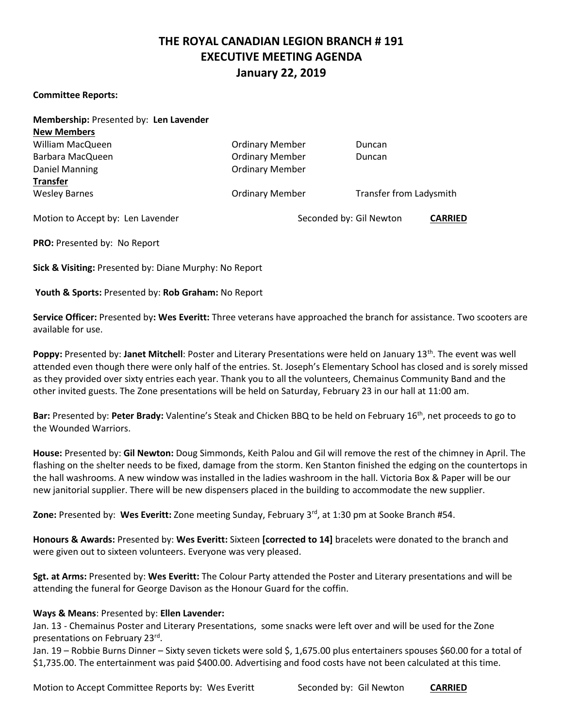## **THE ROYAL CANADIAN LEGION BRANCH # 191 EXECUTIVE MEETING AGENDA January 22, 2019**

#### **Committee Reports:**

| Membership: Presented by: Len Lavender |                        |                                           |
|----------------------------------------|------------------------|-------------------------------------------|
| <b>New Members</b>                     |                        |                                           |
| William MacQueen                       | <b>Ordinary Member</b> | Duncan                                    |
| Barbara MacQueen                       | <b>Ordinary Member</b> | Duncan                                    |
| Daniel Manning                         | <b>Ordinary Member</b> |                                           |
| <b>Transfer</b>                        |                        |                                           |
| <b>Wesley Barnes</b>                   | <b>Ordinary Member</b> | <b>Transfer from Ladysmith</b>            |
| Motion to Accept by: Len Lavender      |                        | Seconded by: Gil Newton<br><b>CARRIED</b> |

**PRO:** Presented by: No Report

**Sick & Visiting:** Presented by: Diane Murphy: No Report

**Youth & Sports:** Presented by: **Rob Graham:** No Report

**Service Officer:** Presented by**: Wes Everitt:** Three veterans have approached the branch for assistance. Two scooters are available for use.

**Poppy:** Presented by: Janet Mitchell: Poster and Literary Presentations were held on January 13<sup>th</sup>. The event was well attended even though there were only half of the entries. St. Joseph's Elementary School has closed and is sorely missed as they provided over sixty entries each year. Thank you to all the volunteers, Chemainus Community Band and the other invited guests. The Zone presentations will be held on Saturday, February 23 in our hall at 11:00 am.

**Bar:** Presented by: **Peter Brady:** Valentine's Steak and Chicken BBQ to be held on February 16th, net proceeds to go to the Wounded Warriors.

**House:** Presented by: **Gil Newton:** Doug Simmonds, Keith Palou and Gil will remove the rest of the chimney in April. The flashing on the shelter needs to be fixed, damage from the storm. Ken Stanton finished the edging on the countertops in the hall washrooms. A new window was installed in the ladies washroom in the hall. Victoria Box & Paper will be our new janitorial supplier. There will be new dispensers placed in the building to accommodate the new supplier.

**Zone:** Presented by: **Wes Everitt:** Zone meeting Sunday, February 3rd, at 1:30 pm at Sooke Branch #54.

**Honours & Awards:** Presented by: **Wes Everitt:** Sixteen **[corrected to 14]** bracelets were donated to the branch and were given out to sixteen volunteers. Everyone was very pleased.

**Sgt. at Arms:** Presented by: **Wes Everitt:** The Colour Party attended the Poster and Literary presentations and will be attending the funeral for George Davison as the Honour Guard for the coffin.

### **Ways & Means**: Presented by: **Ellen Lavender:**

Jan. 13 - Chemainus Poster and Literary Presentations, some snacks were left over and will be used for the Zone presentations on February 23<sup>rd</sup>.

Jan. 19 – Robbie Burns Dinner – Sixty seven tickets were sold \$, 1,675.00 plus entertainers spouses \$60.00 for a total of \$1,735.00. The entertainment was paid \$400.00. Advertising and food costs have not been calculated at this time.